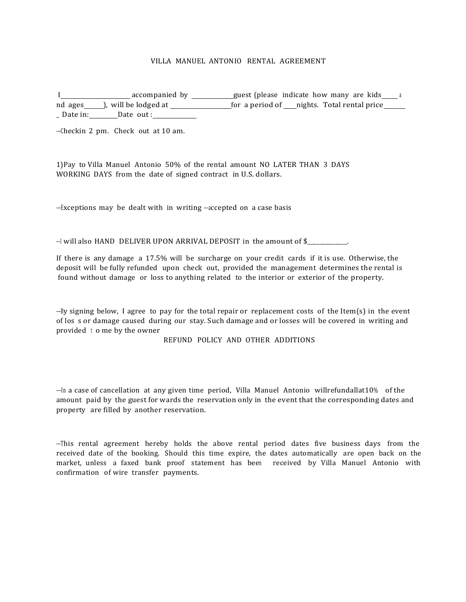## VILLA MANUEL ANTONIO RENTAL AGREEMENT

I accompanied by guest (please indicate how many are kids <sup>a</sup> nd ages a b, will be lodged at the second of mights. Total rental price Date in: Date out :

---Checkin 2 pm. Check out at 10 am.

1)Pay to Villa Manuel Antonio 50% of the rental amount NO LATER THAN 3 DAYS WORKING DAYS from the date of signed contract in U.S. dollars.

--Exceptions may be dealt with in writing --accepted on a case basis

 $-1$  will also HAND DELIVER UPON ARRIVAL DEPOSIT in the amount of  $\frac{1}{2}$ 

If there is any damage a  $17.5\%$  will be surcharge on your credit cards if it is use. Otherwise, the deposit will be fully refunded upon check out, provided the management determines the rental is found without damage or loss to anything related to the interior or exterior of the property.

 $-Fy$  signing below, I agree to pay for the total repair or replacement costs of the Item(s) in the event of los s or damage caused during our stay. Such damage and or losses will be covered in writing and provided to me by the owner

REFUND POLICY AND OTHER ADDITIONS

 $-$ In a case of cancellation at any given time period, Villa Manuel Antonio willrefundallat10% of the amount paid by the guest for wards the reservation only in the event that the corresponding dates and property are filled by another reservation.

--This rental agreement hereby holds the above rental period dates five business days from the received date of the booking. Should this time expire, the dates automatically are open back on the market, unless a faxed bank proof statement has been received by Villa Manuel Antonio with confirmation of wire transfer payments.